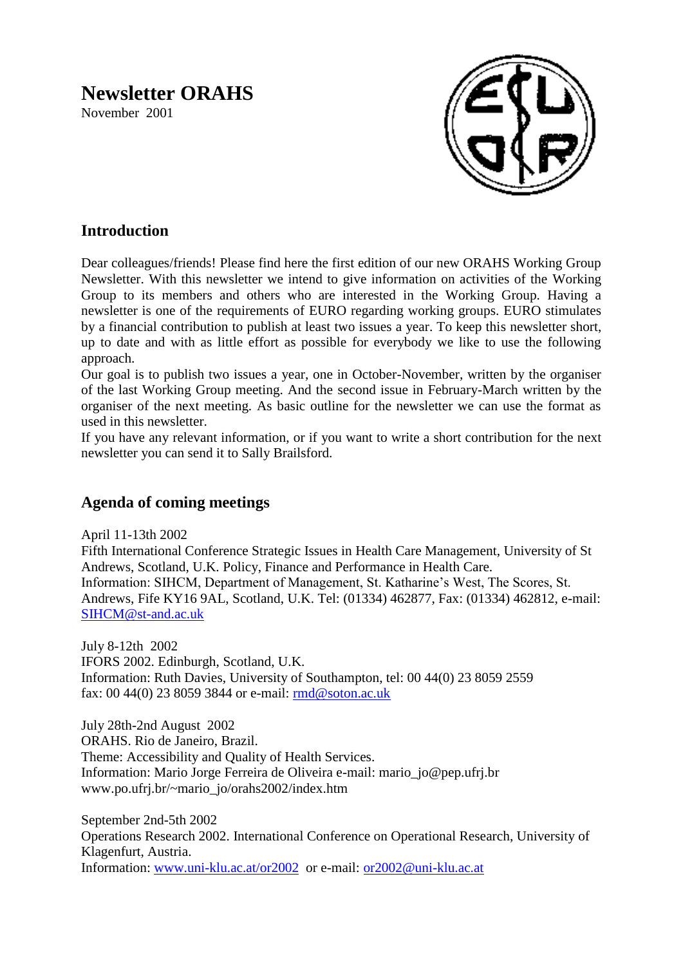# **Newsletter ORAHS**

November 2001



# **Introduction**

Dear colleagues/friends! Please find here the first edition of our new ORAHS Working Group Newsletter. With this newsletter we intend to give information on activities of the Working Group to its members and others who are interested in the Working Group. Having a newsletter is one of the requirements of EURO regarding working groups. EURO stimulates by a financial contribution to publish at least two issues a year. To keep this newsletter short, up to date and with as little effort as possible for everybody we like to use the following approach.

Our goal is to publish two issues a year, one in October-November, written by the organiser of the last Working Group meeting. And the second issue in February-March written by the organiser of the next meeting. As basic outline for the newsletter we can use the format as used in this newsletter.

If you have any relevant information, or if you want to write a short contribution for the next newsletter you can send it to Sally Brailsford.

## **Agenda of coming meetings**

April 11-13th 2002

Fifth International Conference Strategic Issues in Health Care Management, University of St Andrews, Scotland, U.K. Policy, Finance and Performance in Health Care. Information: SIHCM, Department of Management, St. Katharine's West, The Scores, St. Andrews, Fife KY16 9AL, Scotland, U.K. Tel: (01334) 462877, Fax: (01334) 462812, e-mail: [SIHCM@st-and.ac.uk](mailto:SIHCM@st-and.ac.uk)

July 8-12th 2002 IFORS 2002. Edinburgh, Scotland, U.K. Information: Ruth Davies, University of Southampton, tel: 00 44(0) 23 8059 2559 fax: 00 44(0) 23 8059 3844 or e-mail: [rmd@soton.ac.uk](mailto:rmd@soton.ac.uk)

July 28th-2nd August 2002 ORAHS. Rio de Janeiro, Brazil. Theme: Accessibility and Quality of Health Services. Information: Mario Jorge Ferreira de Oliveira e-mail: mario\_jo@pep.ufrj.br www.po.ufrj.br/~mario\_jo/orahs2002/index.htm

September 2nd-5th 2002 Operations Research 2002. International Conference on Operational Research, University of Klagenfurt, Austria. Information: [www.uni-klu.ac.at/or2002](http://www.uni-klu.ac.at/or2002) or e-mail: [or2002@uni-klu.ac.at](mailto:or2002@uni-klu.ac.at)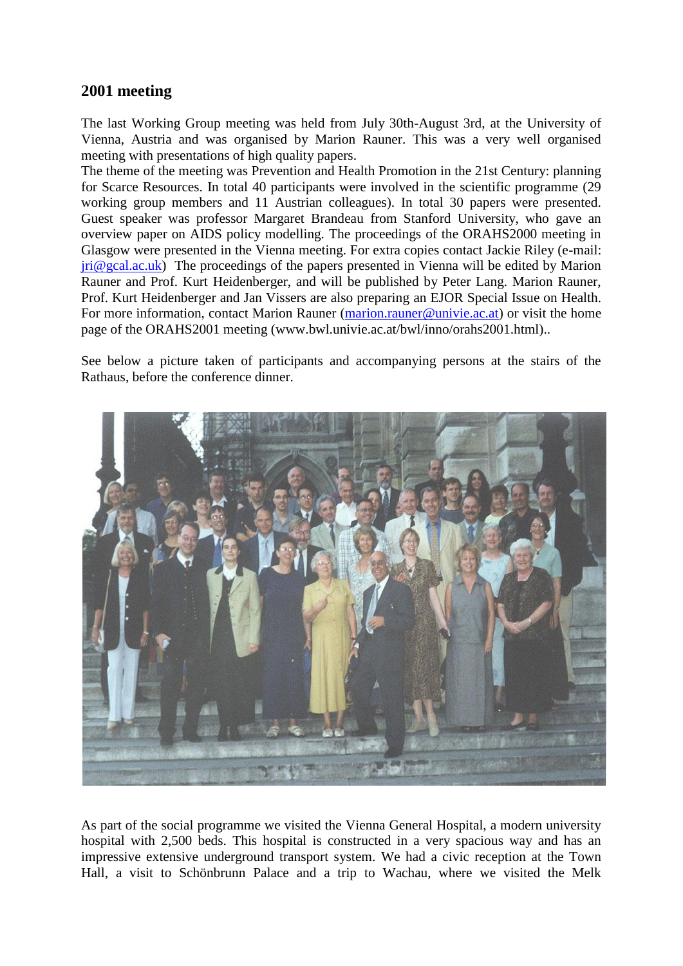## **2001 meeting**

The last Working Group meeting was held from July 30th-August 3rd, at the University of Vienna, Austria and was organised by Marion Rauner. This was a very well organised meeting with presentations of high quality papers.

The theme of the meeting was Prevention and Health Promotion in the 21st Century: planning for Scarce Resources. In total 40 participants were involved in the scientific programme (29 working group members and 11 Austrian colleagues). In total 30 papers were presented. Guest speaker was professor Margaret Brandeau from Stanford University, who gave an overview paper on AIDS policy modelling. The proceedings of the ORAHS2000 meeting in Glasgow were presented in the Vienna meeting. For extra copies contact Jackie Riley (e-mail:  $\pi \in \mathbb{R}$  ac.uk) The proceedings of the papers presented in Vienna will be edited by Marion Rauner and Prof. Kurt Heidenberger, and will be published by Peter Lang. Marion Rauner, Prof. Kurt Heidenberger and Jan Vissers are also preparing an EJOR Special Issue on Health. For more information, contact Marion Rauner [\(marion.rauner@univie.ac.at\)](mailto:marion.rauner@univie.ac.at) or visit the home page of the ORAHS2001 meeting (www.bwl.univie.ac.at/bwl/inno/orahs2001.html)..

See below a picture taken of participants and accompanying persons at the stairs of the Rathaus, before the conference dinner.



As part of the social programme we visited the Vienna General Hospital, a modern university hospital with 2,500 beds. This hospital is constructed in a very spacious way and has an impressive extensive underground transport system. We had a civic reception at the Town Hall, a visit to Schönbrunn Palace and a trip to Wachau, where we visited the Melk